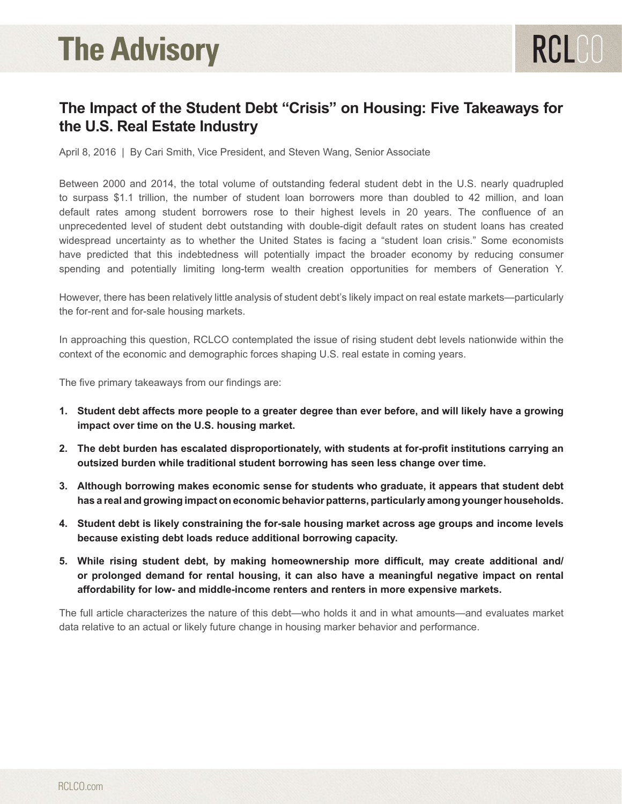# **The Advisory**

# **The Impact of the Student Debt "Crisis" on Housing: Five Takeaways for the U.S. Real Estate Industry**

RCLCO

April 8, 2016 | By Cari Smith, Vice President, and Steven Wang, Senior Associate

Between 2000 and 2014, the total volume of outstanding federal student debt in the U.S. nearly quadrupled to surpass \$1.1 trillion, the number of student loan borrowers more than doubled to 42 million, and loan default rates among student borrowers rose to their highest levels in 20 years. The confluence of an unprecedented level of student debt outstanding with double-digit default rates on student loans has created widespread uncertainty as to whether the United States is facing a "student loan crisis." Some economists have predicted that this indebtedness will potentially impact the broader economy by reducing consumer spending and potentially limiting long-term wealth creation opportunities for members of Generation Y.

However, there has been relatively little analysis of student debt's likely impact on real estate markets—particularly the for-rent and for-sale housing markets.

In approaching this question, RCLCO contemplated the issue of rising student debt levels nationwide within the context of the economic and demographic forces shaping U.S. real estate in coming years.

The five primary takeaways from our findings are:

- **1. Student debt affects more people to a greater degree than ever before, and will likely have a growing impact over time on the U.S. housing market.**
- **2. The debt burden has escalated disproportionately, with students at for-profit institutions carrying an outsized burden while traditional student borrowing has seen less change over time.**
- **3. Although borrowing makes economic sense for students who graduate, it appears that student debt has a real and growing impact on economic behavior patterns, particularly among younger households.**
- **4. Student debt is likely constraining the for-sale housing market across age groups and income levels because existing debt loads reduce additional borrowing capacity.**
- **5. While rising student debt, by making homeownership more difficult, may create additional and/ or prolonged demand for rental housing, it can also have a meaningful negative impact on rental affordability for low- and middle-income renters and renters in more expensive markets.**

The full article characterizes the nature of this debt—who holds it and in what amounts—and evaluates market data relative to an actual or likely future change in housing marker behavior and performance.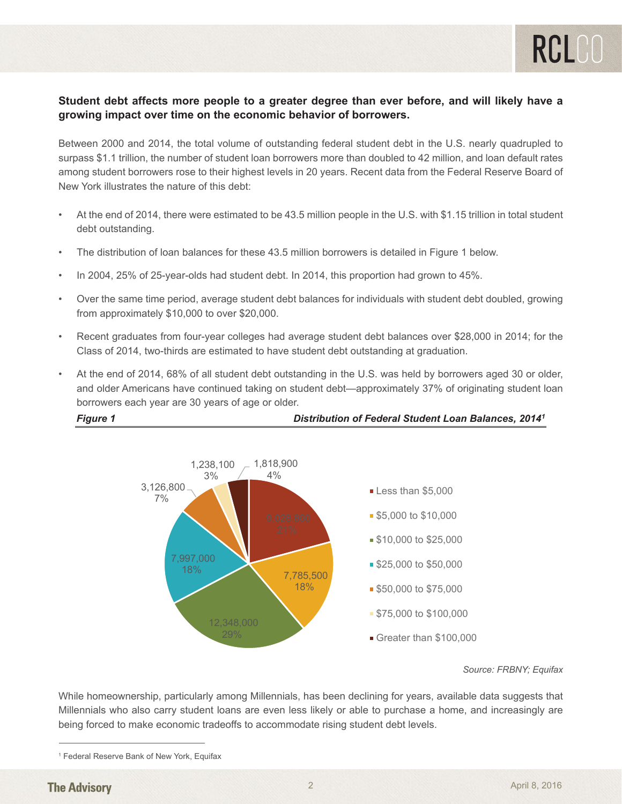# **Student debt affects more people to a greater degree than ever before, and will likely have a growing impact over time on the economic behavior of borrowers.**

Between 2000 and 2014, the total volume of outstanding federal student debt in the U.S. nearly quadrupled to surpass \$1.1 trillion, the number of student loan borrowers more than doubled to 42 million, and loan default rates **Examples Contriguist in the framerical borrowers more than every contributed to the immediate form the Federal Reserve Board of among student borrowers rose to their highest levels in 20 years. Recent data from the Federa** New York illustrates the nature of this debt: have a growing impact over the exploration of the exploration of the exploration of the exploration of the exploration of the exploration of the exploration of the exploration of the exploration of the exploration of the e

- At the end of 2014, there were estimated to be 43.5 million people in the U.S. with \$1.15 trillion in total student debt outstanding. The interest among student borrowers rose to the Federal student borrowers rose to the Federal student borrowers rose to the Federal student borrowers rose to the Federal student and the Federal student b Reserve Board of New York illustrates the nature of this debt:
- The distribution of loan balances for these 43.5 million borrowers is detailed in Figure 1 below.
- . In 2004, 25% of 25-year-olds had student debt. In 2014, this proportion had grown to 45%. the distribution of loan balances for the distribution borrowers is determined in Figure 1 below.
- Over the same time period, average student debt balances for individuals with student debt doubled, growing from approximately  $$10,000$  to over  $$20,000$ . doubled, growing from approximately  $\mathcal{L}_1$  ,  $\mathcal{L}_2$  to over  $\mathcal{L}_3$
- Recent graduates from four-year colleges had average student debt balances over \$28,000 in 2014; for the Recent graduates from four-year colleges had average student debt balances over \$28,000 in Class of 2014, two-thirds are estimated to have student debt outstanding at graduation.
- At the end of 2014, 68% of all student debt outstanding in the U.S. was held by borrowers aged 30 or older, At the end of 2014, 68% of all student debt outstanding in the U.S. was held by borrowers aged 30 and older Americans have continued taking on student debt—approximately 37% of originating student loan borrowers each year are 30 years of age or older.

*Figure 1 Distribution of Federal Student Loan Balances, 20141*



*Source: FRBNY; Equifax*

While homeownership, particularly among Millennials, has been declining for years, available data suggests that Millennials who also carry student loans are even less likely or able to purchase a home, and increasingly are being forced to make economic tradeoffs to accommodate rising student debt levels.

<sup>&</sup>lt;sup>1</sup> Federal Reserve Bank of New York, Equifax **compared to the majority of the majority of the majority of the majority of the majority of the majority of the majority of the majority of the majority of the majority of the**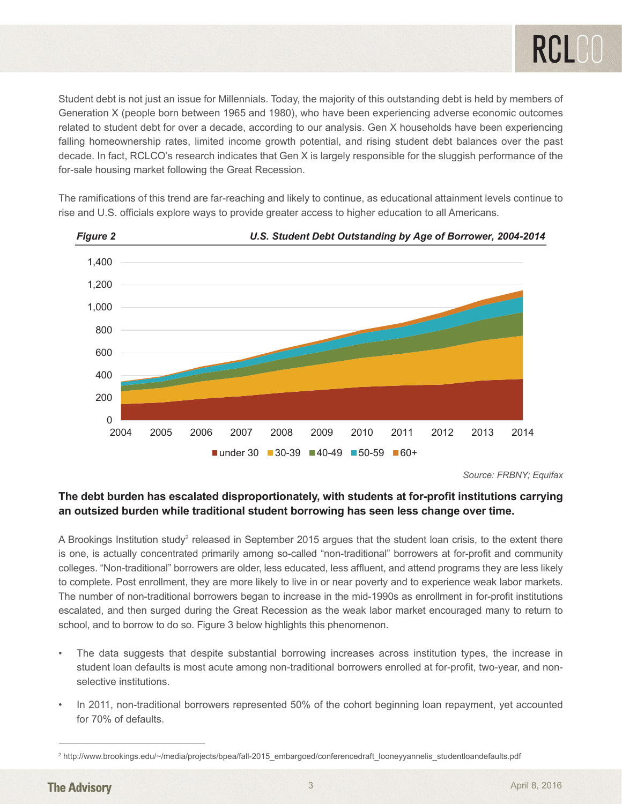Student debt is not just an issue for Millennials. Today, the majority of this outstanding debt is held by members of Generation X (people born between 1965 and 1980), who have been experiencing adverse economic outcomes related to student debt for over a decade, according to our analysis. Gen X households have been experiencing falling homeownership rates, limited income growth potential, and rising student debt balances over the past decade. In fact, RCLCO's research indicates that Gen X is largely responsible for the sluggish performance of the for-sale housing market following the Great Recession.

The ramifications of this trend are far-reaching and likely to continue, as educational attainment levels continue to rise and U.S. officials explore ways to provide greater access to higher education to all Americans.



*Source: FRBNY; Equifax*

## **The debt burden has escalated disproportionately, with students at for-profit institutions**  The debt burden has escalated disproportionately, with students at for-profit institutions carrying **time. an outsized burden while traditional student borrowing has seen less change over time.**

A Brookings Institute study2 released in September 2015 argues that the student loan crisis, to the extent A Brookings Institution study<sup>2</sup> released in September 2015 argues that the student loan crisis, to the extent there is one, is actually concentrated primarily among so-called "non-traditional" borrowers at for-profit and community colleges. "Non-traditional" borrowers are older, less educated, less affluent, and attend programs they are less likely to complete. Post enrollment, they are more likely to live in or near poverty and to experience weak labor markets. The number of non-traditional borrowers began to increase in the mid-1990s as enrollment in for-profit institutions escalated, and then surged during the Great Recession as the weak labor market encouraged many to return to school, and to borrow to do so. Figure 3 below highlights this phenomenon.

- The data suggests that despite substantial borrowing increases across institution types, the increase in student loan defaults is most acute among non-traditional borrowers enrolled at for-profit, two-year, and nonselective institutions.<br>
Selective institutions.
- for 70% of defaults. • In 2011, non-traditional borrowers represented 50% of the cohort beginning loan repayment, yet accounted

2015\_embargoed/conferencedraft\_looneyyannelis\_studentloandefaults.pdf

<sup>2</sup> http://www.brookings.edu/~/media/projects/bpea/fall-2015\_embargoed/conferencedraft\_looneyyannelis\_studentloandefaults.pdf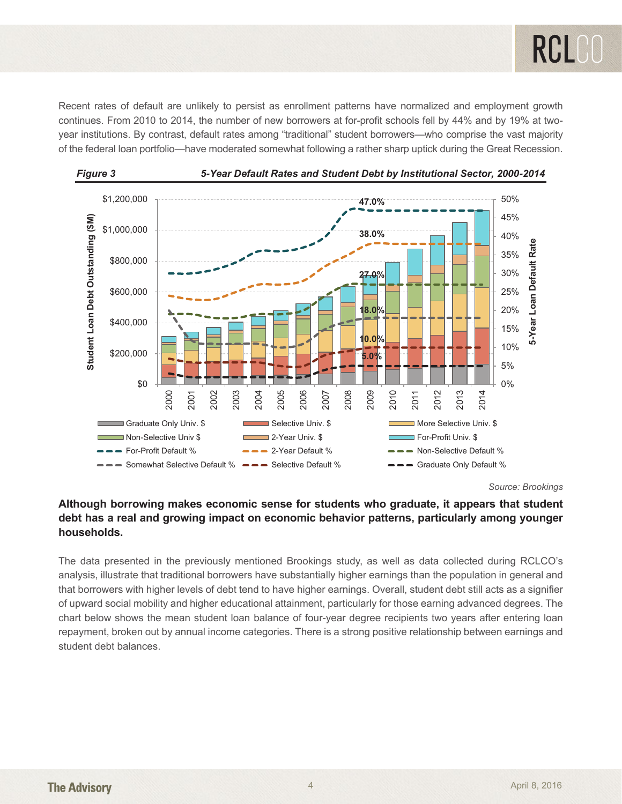Recent rates of default are unlikely to persist as enrollment patterns have normalized and employment growth continues. From 2010 to 2014, the number of new borrowers at for-profit schools fell by 44% and by 19% at twoventures in term send to see the federal loan series the federal loan portfolio and somewhat for the strategy to be strategy to be strategy to be strategy to be strategy to be strategy to be strategy to be strategy to be s of the federal loan portfolio—have moderated somewhat following a rather sharp uptick during the Great Recession. mondulum the Great Recent Recent Recent Recent Recent Recent Recent Recent Recent Recent Recent Recent Recent Recent Recent Recent Recent Recent Recent Recent Recent Recent Recent Recent Recent Recent Recent Recent Recent





### **Although borrowing makes economic sense for students who graduate, it appears that student Although borrowing makes economic sense for students who graduate, it appears that debt has a real and growing impact on economic behavior patterns, particularly among younger student debt has a real and growing impact on economic behavior patterns, particularly households. among younger households.**

The data presented in the previously mentioned Brookings study, as well as data collected during RCLCO's analysis, illustrate that traditional borrowers have substantially higher earnings than the population in general and that borrowers with higher levels of debt tend to have higher earnings. Overall, student debt still acts as a signifier of upward social mobility and higher educational attainment, particularly for those earning advanced degrees. The chart below shows the mean student loan balance of four-year degree recipients two years after entering loan repayment, broken out by annual income categories. There is a strong positive relationship between earnings and student debt balances. still activities and the upward society of upward substantially inglical committee into population in general attainment, particularly for the upstantial mobility for the upstantial model in the upstantial model in the ups

*Source: Brookings*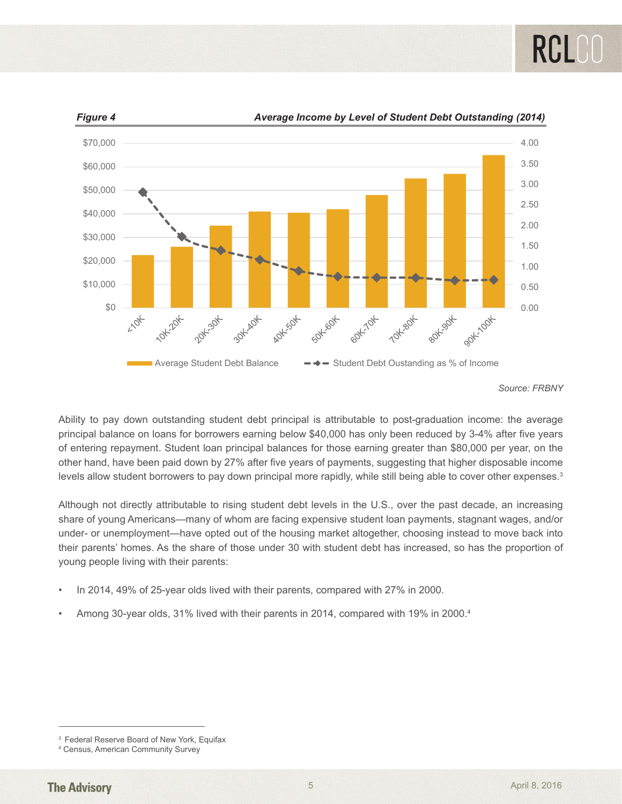



*Figure 4 Average Income by Level of Student Debt Outstanding (2014)*

Ability to pay down outstanding student debt principal is attributable to post-graduation income: the average principal balance on loans for borrowers earning below \$40,000 has only been reduced by 3-4% after five years principal statures on retails for some more caming solon project has only seen reduced by 37% after mer years<br>of entering repayment. Student loan principal balances for those earning greater than \$80,000 per year, on the other hand, have been paid down by 27% after five years of payments, suggesting that higher disposable income levels allow student borrowers to pay down principal more rapidly, while still being able to cover other expenses.<sup>3</sup> disposable income levels allow  $\alpha$  principal balances for prior  $\alpha$  and  $\beta$  greater than  $\phi$ 00,000 per year, on Although not directly attributable to rising studient debt levels in the U.S., over the past decade, and

Although not directly attributable to rising student debt levels in the U.S., over the past decade, an increasing share of young Americans—many of whom are facing expensive student loan payments, stagnant wages, and/or under- or unemployment—have opted out of the housing market altogether, choosing instead to move back into their parents' homes. As the share of those under 30 with student debt has increased, so has the proportion of The unique people living with their parents:<br>
In 2014, 49% of 25-year olds lived with their parents, compared with 27% in 2000. stagn not uncelly dimbatable to noing station about over in the 0.0, over the plast accuracy, an increase choosing Americans—many of whom are facing experisive student idan payments, stagnant wages, and Among 30-year olds, 31% lived with their parents in 2014, compared with 19% in 2000.4

- In 2014, 49% of 25-year olds lived with their parents, compared with 27% in 2000.
- Among 30-year olds, 31% lived with their parents in 2014, compared with 19% in 2000.4

*Source: FRBNY*

 <sup>3</sup> Federal Reserve Board of New York, Equifax 3 Federal Reserve Board of New York, Equifax

<sup>4</sup> Census, American Community Survey 4 Census, American Community Survey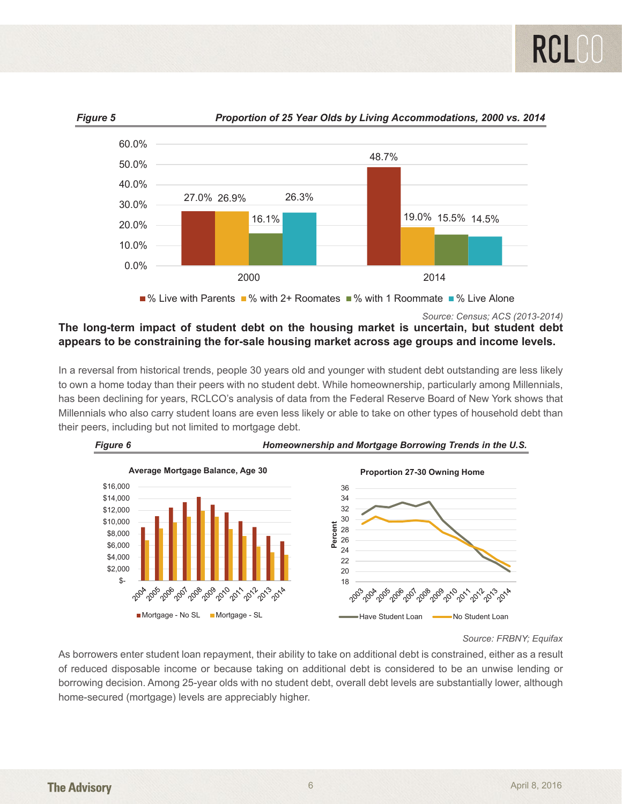

% Live with Parents  $\blacksquare$ % with 2+ Roomates  $\blacksquare$ % with 1 Roommate  $\blacksquare$ % Live Alone

% Live with Parents % with 2+ Roomates % with 1 Roommate % Live Alone *Source: Census; ACS (2013-2014)*

#### **The long-term impact of student debt on the housing market is uncertain, but student debt The long-term impact of student debt on the housing market is uncertain, but student**  appears to be constraining the for-sale housing market across age groups and income levels. **debt appears to be constraining the for-sale housing market across age groups and**  debt with impact of others to be one of the housing market to ancortain, but other **income levels.**

In a reversal from historical trends, people 30 years old and younger with student debt outstanding are less likely to own a home today than their peers with no student debt. While homeownership, particularly among Millennials, **has been declining for years, RCLCO's analysis of data from the Federal Reserve Board of New York shows that has been declining for years, RCLCO's analysis of data from the Federal Reserve Board of New York shows that** Millennials who also carry student loans are even less likely or able to take on other types of household debt than their peers, including but not limited to mortgage debt. been declining for years, RCLCO's analysis of data from the Federal Reserve Board of New York shows to



Source: FRBNY; Equifax

As borrowers enter student loan repayment, their ability to take on additional debt is constrained, either as a result of reduced disposable income or because taking on additional debt is considered to be an unwise lending or borrowing decision. Among 25-year olds with no student debt, overall debt levels are substantially lower, although borrowing decision. Among 25-year olds with no student debt, overall debt levels are substantially lower, a home-secured (mortgage) levels are appreciably higher. owing decision. Among 25-year olds with no student debt, overall debt levels are substantially lower, althoi lending or borrowing decision. Among 25-year olds with no student debt, overall debt levels are substantially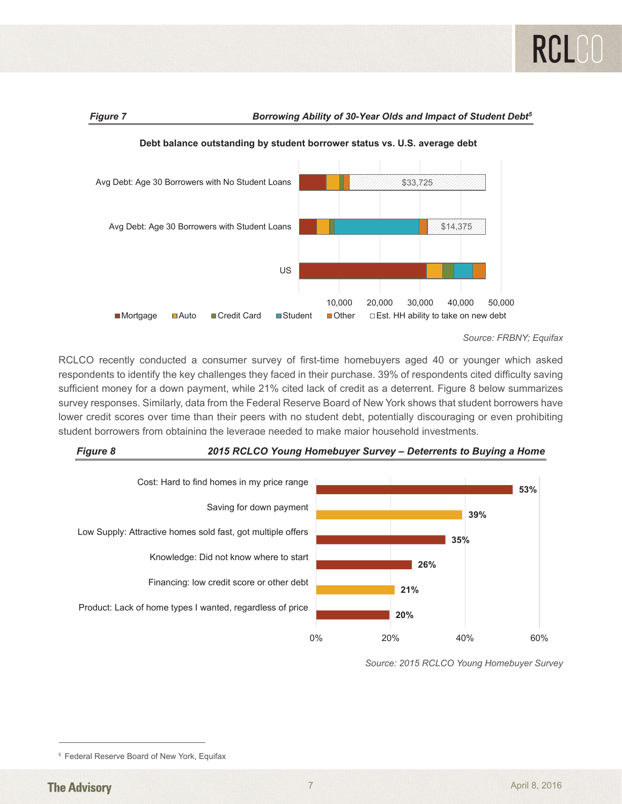

**Figure 7** Borrowing Ability of 30-Year Olds and Impact of Student Debt<sup>5</sup>



**Debt balance outstanding by student borrower status vs. U.S. average debt**

RCLCO recently conducted a consumer survey of first-time homebuyers aged 40 or younger which asked respondents to identify the key challenges they faced in their purchase. 39% of respondents cited difficulty saving sufficient money for a down payment, while 21% cited lack of credit as a deterrent. Figure 8 below summarizes survey responses. Similarly, data from the Federal Reserve Board of New York shows that student borrowers have Lower credit scores over time than their peers with no student debt, potentially discouraging or even prohibiting student borrowers from obtaining the leverage needed to make major household investments. disponses. Ormany, data nom the rederariveserve board or new fork shows that student borrower redit scores over time





*Source: 2015 RCLCO Young Homebuyer Survey*

**Source: FRBNY; Equifax** 

<sup>&</sup>lt;sup>5</sup> Federal Reserve Board of New York, Equifax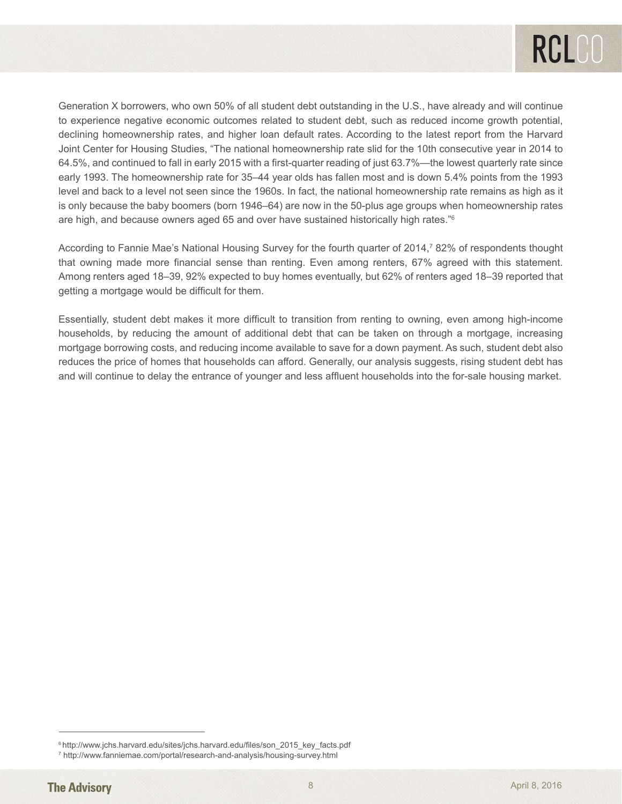

Generation X borrowers, who own 50% of all student debt outstanding in the U.S., have already and will continue to experience negative economic outcomes related to student debt, such as reduced income growth potential, declining homeownership rates, and higher loan default rates. According to the latest report from the Harvard Joint Center for Housing Studies, "The national homeownership rate slid for the 10th consecutive year in 2014 to 64.5%, and continued to fall in early 2015 with a first-quarter reading of just 63.7%—the lowest quarterly rate since early 1993. The homeownership rate for 35–44 year olds has fallen most and is down 5.4% points from the 1993 level and back to a level not seen since the 1960s. In fact, the national homeownership rate remains as high as it is only because the baby boomers (born 1946–64) are now in the 50-plus age groups when homeownership rates are high, and because owners aged 65 and over have sustained historically high rates."6

According to Fannie Mae's National Housing Survey for the fourth quarter of 2014,<sup>7</sup> 82% of respondents thought that owning made more financial sense than renting. Even among renters, 67% agreed with this statement. Among renters aged 18–39, 92% expected to buy homes eventually, but 62% of renters aged 18–39 reported that getting a mortgage would be difficult for them.

Essentially, student debt makes it more difficult to transition from renting to owning, even among high-income households, by reducing the amount of additional debt that can be taken on through a mortgage, increasing mortgage borrowing costs, and reducing income available to save for a down payment. As such, student debt also reduces the price of homes that households can afford. Generally, our analysis suggests, rising student debt has and will continue to delay the entrance of younger and less affluent households into the for-sale housing market.

<sup>&</sup>lt;sup>6</sup> http://www.jchs.harvard.edu/sites/jchs.harvard.edu/files/son\_2015\_key\_facts.pdf

<sup>7</sup> http://www.fanniemae.com/portal/research-and-analysis/housing-survey.html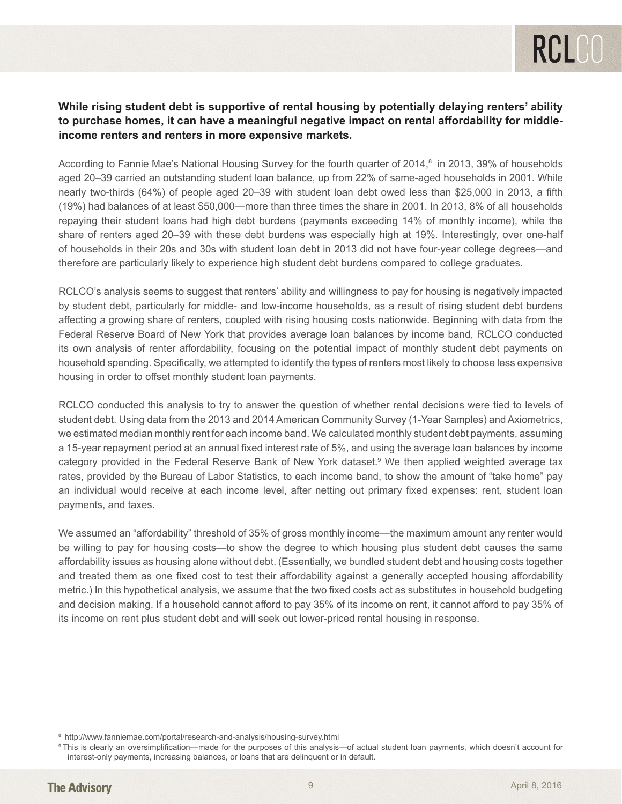# **While rising student debt is supportive of rental housing by potentially delaying renters' ability to purchase homes, it can have a meaningful negative impact on rental affordability for middleincome renters and renters in more expensive markets.**

According to Fannie Mae's National Housing Survey for the fourth quarter of 2014, $^8$  in 2013, 39% of households aged 20–39 carried an outstanding student loan balance, up from 22% of same-aged households in 2001. While nearly two-thirds (64%) of people aged 20–39 with student loan debt owed less than \$25,000 in 2013, a fifth (19%) had balances of at least \$50,000—more than three times the share in 2001. In 2013, 8% of all households repaying their student loans had high debt burdens (payments exceeding 14% of monthly income), while the share of renters aged 20–39 with these debt burdens was especially high at 19%. Interestingly, over one-half of households in their 20s and 30s with student loan debt in 2013 did not have four-year college degrees—and therefore are particularly likely to experience high student debt burdens compared to college graduates.

RCLCO's analysis seems to suggest that renters' ability and willingness to pay for housing is negatively impacted by student debt, particularly for middle- and low-income households, as a result of rising student debt burdens affecting a growing share of renters, coupled with rising housing costs nationwide. Beginning with data from the Federal Reserve Board of New York that provides average loan balances by income band, RCLCO conducted its own analysis of renter affordability, focusing on the potential impact of monthly student debt payments on household spending. Specifically, we attempted to identify the types of renters most likely to choose less expensive housing in order to offset monthly student loan payments.

RCLCO conducted this analysis to try to answer the question of whether rental decisions were tied to levels of student debt. Using data from the 2013 and 2014 American Community Survey (1-Year Samples) and Axiometrics, we estimated median monthly rent for each income band. We calculated monthly student debt payments, assuming a 15-year repayment period at an annual fixed interest rate of 5%, and using the average loan balances by income category provided in the Federal Reserve Bank of New York dataset.9 We then applied weighted average tax rates, provided by the Bureau of Labor Statistics, to each income band, to show the amount of "take home" pay an individual would receive at each income level, after netting out primary fixed expenses: rent, student loan payments, and taxes.

We assumed an "affordability" threshold of 35% of gross monthly income—the maximum amount any renter would be willing to pay for housing costs—to show the degree to which housing plus student debt causes the same affordability issues as housing alone without debt. (Essentially, we bundled student debt and housing costs together and treated them as one fixed cost to test their affordability against a generally accepted housing affordability metric.) In this hypothetical analysis, we assume that the two fixed costs act as substitutes in household budgeting and decision making. If a household cannot afford to pay 35% of its income on rent, it cannot afford to pay 35% of its income on rent plus student debt and will seek out lower-priced rental housing in response.

<sup>8</sup>http://www.fanniemae.com/portal/research-and-analysis/housing-survey.html

<sup>9</sup> This is clearly an oversimplification—made for the purposes of this analysis—of actual student loan payments, which doesn't account for interest-only payments, increasing balances, or loans that are delinquent or in default.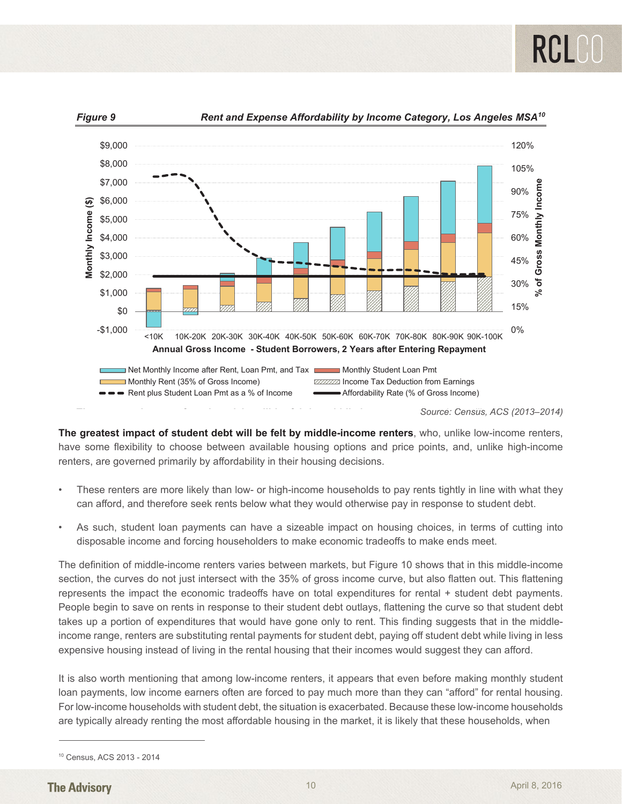

*Figure 9 Rent and Expense Affordability by Income Category, Los Angeles MSA10*

**The greatest impaction of student depth impaction of student depth impaction of student depth impaction of student depth impaction of**  $S$  **and**  $S$  **(2013–2014)** 

**The greatest impact of student debt will be felt by middle-income renters**, who, unlike low-income renters, have some flexibility to choose between available housing options and price points, and, unlike high-income renters, are governed primarily by affordability in their housing decisions. renters, have some flexibility to choose between available housing options and price points, and, unlike greatest impact of student dept will be felt by middle-income renters, who, uni

- These renters are more likely than low- or high-income households to pay rents tightly in line with what they can afford, and therefore seek rents below what they would otherwise pay in response to student debt. into disposable income and forcing householders to make economic tradeoffs to make ends meet.
- As such, student loan payments can have a sizeable impact on housing choices, in terms of cutting into disposable income and forcing householders to make economic tradeoffs to make ends meet. The definition of middle-income renters varies between markets, but Figure 10 shows that in this middle-As such, student loan payments can have a sizeable impact on housing choices, in terms of cutting i

The definition of middle-income renters varies between markets, but Figure 10 shows that in this middle-income section, the curves do not just intersect with the 35% of gross income curve, but also flatten out. This flattening represents the impact the economic tradeoffs have on total expenditures for rental + student debt payments. People begin to save on rents in response to their student debt outlays, flattening the curve so that student debt takes up a portion of expenditures that would have gone only to rent. This finding suggests that in the middleincome range, renters are substituting rental payments for student debt, paying off student debt while living in less expensive housing instead of living in the rental housing that their incomes would suggest they can afford. counts the impact the economic trade low-income housing include or invitig in the following the most afford most accepted beggeen they can uncle.

It is also worth mentioning that among low-income renters, it appears that even before making monthly student loan payments, low income earners often are forced to pay much more than they can "afford" for rental housing. For low-income households with student debt, the situation is exacerbated. Because these low-income households are typically already renting the most affordable housing in the market, it is likely that these households, when

 <sup>10</sup> Census, ACS 2013 - <sup>2014</sup> 10 Census, ACS 2013 - 2014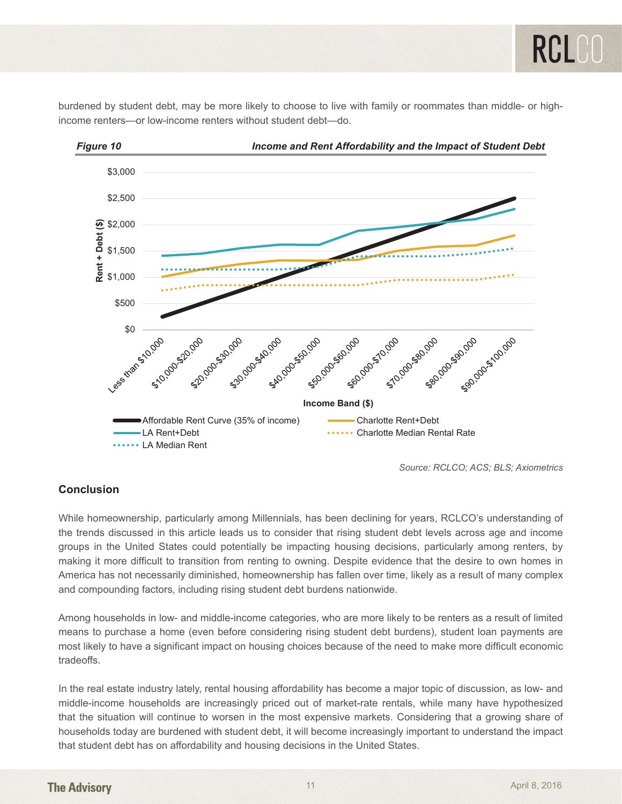*Figure 10 Income and Rent Affordability and the Impact of Student Debt*  \$3,000 \$2,500  $6. $2,000$ **Rent + Debt (\$)** Rent + Debt \$1,500 \$1,000 \$500 **Income Band (\$)**<br>Agg Construction and Construction and Construction and Construction and Construction and Construction and Construction and Construction and Construction and Construction and Construction and Construction 8-20-00 5-30.00 590.000 50.000 Less Kighayon B 6510.000 520.00 550.000 50.00 50.00 510.00 510:000 580:00 59.90.00

■Affordable Rent Curve (35% of income) Charlotte Rent+Debt

LA Rent+Debt Charlotte Median Rental Rate

burdened by student debt, may be more likely to choose to live with family or roommates than middle- or highincome renters—or low-income renters without student debt—do.

# **Conclusion**

**......** LA Median Rent

While homeownership, particularly among Millennials, has been declining for years, RCLCO's understanding of the trends discussed in this article leads us to consider that rising student debt levels across age and income groups in the United States could potentially be impacting housing decisions, particularly among renters, by making it more difficult to transition from renting to owning. Despite evidence that the desire to own homes in America has not necessarily diminished, homeownership has fallen over time, likely as a result of many complex and compounding factors, including rising student debt burdens nationwide. ac nonneuverlensing, paracalary among winerinials, has been acciming for years, NOLOO 3 and istantanty

Among households in low- and middle-income categories, who are more likely to be renters as a result of limited means to purchase a home (even before considering rising student debt burdens), student loan payments are most likely to have a significant impact on housing choices because of the need to make more difficult economic tradeoffs. low- and middle-income households are increasingly priced out of market-rate rate rate rate rate rentals, which many have rentals, which may have rentals, which may have rentals, which may have rentals, which may have rent

In the real estate industry lately, rental housing affordability has become a major topic of discussion, as low- and to the income households are increasingly priced out of market-rate rentals, while many have hypothesized middle-income households are increasingly priced out of market-rate rentals, while many have hypothesized that the situation will continue to worsen in the most expensive markets. Considering that a growing share of households today are burdened with student debt, it will become increasingly important to understand the impact that student debt has on affordability and housing decisions in the United States.

*Source: RCLCO; ACS; BLS; Axiometrics*